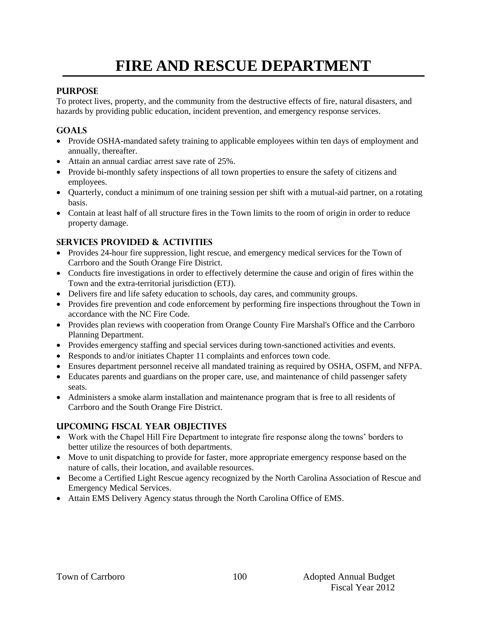# **FIRE AND RESCUE DEPARTMENT**

#### **PURPOSE**

To protect lives, property, and the community from the destructive effects of fire, natural disasters, and hazards by providing public education, incident prevention, and emergency response services.

## **GOALS**

- Provide OSHA-mandated safety training to applicable employees within ten days of employment and annually, thereafter.
- Attain an annual cardiac arrest save rate of 25%.
- Provide bi-monthly safety inspections of all town properties to ensure the safety of citizens and employees.
- Quarterly, conduct a minimum of one training session per shift with a mutual-aid partner, on a rotating basis.
- Contain at least half of all structure fires in the Town limits to the room of origin in order to reduce property damage.

## **SERVICES PROVIDED & ACTIVITIES**

- Provides 24-hour fire suppression, light rescue, and emergency medical services for the Town of Carrboro and the South Orange Fire District.
- Conducts fire investigations in order to effectively determine the cause and origin of fires within the Town and the extra-territorial jurisdiction (ETJ).
- Delivers fire and life safety education to schools, day cares, and community groups.
- Provides fire prevention and code enforcement by performing fire inspections throughout the Town in accordance with the NC Fire Code.
- Provides plan reviews with cooperation from Orange County Fire Marshal's Office and the Carrboro Planning Department.
- Provides emergency staffing and special services during town-sanctioned activities and events.
- Responds to and/or initiates Chapter 11 complaints and enforces town code.
- Ensures department personnel receive all mandated training as required by OSHA, OSFM, and NFPA.
- Educates parents and guardians on the proper care, use, and maintenance of child passenger safety seats.
- Administers a smoke alarm installation and maintenance program that is free to all residents of Carrboro and the South Orange Fire District.

#### **UPCOMING FISCAL YEAR OBJECTIVES**

- Work with the Chapel Hill Fire Department to integrate fire response along the towns' borders to better utilize the resources of both departments.
- Move to unit dispatching to provide for faster, more appropriate emergency response based on the nature of calls, their location, and available resources.
- Become a Certified Light Rescue agency recognized by the North Carolina Association of Rescue and Emergency Medical Services.
- Attain EMS Delivery Agency status through the North Carolina Office of EMS.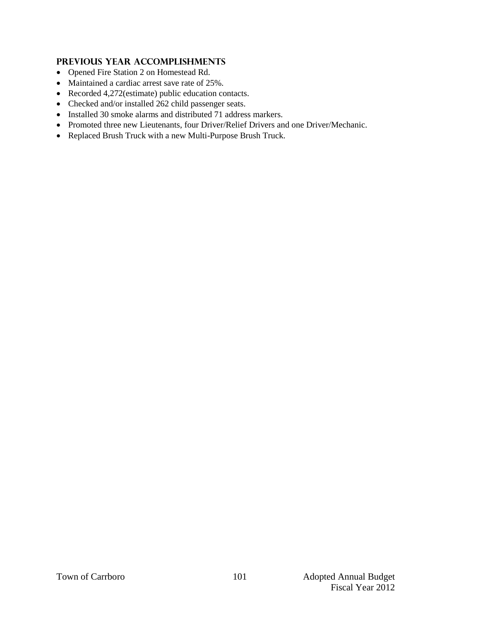## **PREVIOUS YEAR ACCOMPLISHMENTS**

- Opened Fire Station 2 on Homestead Rd.
- Maintained a cardiac arrest save rate of 25%.
- Recorded 4,272(estimate) public education contacts.
- Checked and/or installed 262 child passenger seats.
- Installed 30 smoke alarms and distributed 71 address markers.
- Promoted three new Lieutenants, four Driver/Relief Drivers and one Driver/Mechanic.
- Replaced Brush Truck with a new Multi-Purpose Brush Truck.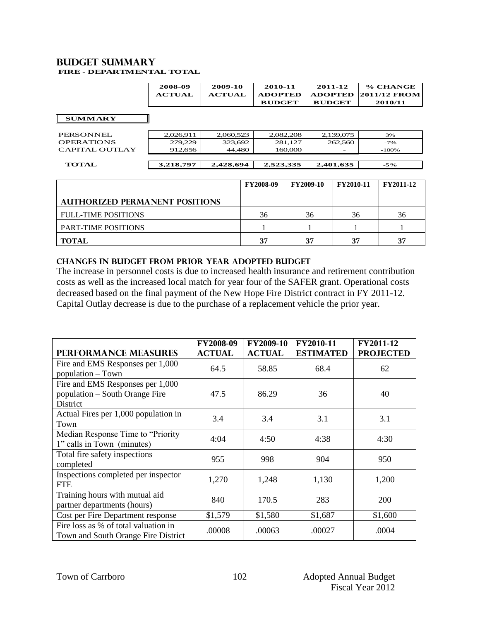#### **Budget summary FIRE - DEPARTMENTAL TOTAL**

| 2008-09       | 2009-10       | 2010-11        | 2011-12       | % CHANGE             |
|---------------|---------------|----------------|---------------|----------------------|
| <b>ACTUAL</b> | <b>ACTUAL</b> | <b>ADOPTED</b> |               | ADOPTED 2011/12 FROM |
|               |               | <b>BUDGET</b>  | <b>BUDGET</b> | 2010/11              |

#### **SUMMARY**

| <b>TOTAL</b>      | 3,218,797 | 2,428,694 | 2,523,335 | 2,401,635                | $-5\%$ |
|-------------------|-----------|-----------|-----------|--------------------------|--------|
| CAPITAL OUTLAY    | 912.656   | 44.480    | 160,000   | $\overline{\phantom{0}}$ | -100%  |
| <b>OPERATIONS</b> | 279.229   | 323.692   | 281.127   | 262,560                  | $-7%$  |
| PERSONNEL         | 2.026.911 | 2.060.523 | 2,082,208 | 2,139,075                | 3%     |

|                                       | <b>FY2008-09</b> | <b>FY2009-10</b> | <b>FY2010-11</b> | <b>FY2011-12</b> |
|---------------------------------------|------------------|------------------|------------------|------------------|
| <b>AUTHORIZED PERMANENT POSITIONS</b> |                  |                  |                  |                  |
| <b>FULL-TIME POSITIONS</b>            | 36               | 36               | 36               | 36               |
| <b>PART-TIME POSITIONS</b>            |                  |                  |                  |                  |
| <b>TOTAL</b>                          | 37               | 37               | 37               | 37               |

#### **CHANGES IN BUDGET from PRIOR YEAR ADOPTED BUDGET**

The increase in personnel costs is due to increased health insurance and retirement contribution costs as well as the increased local match for year four of the SAFER grant. Operational costs decreased based on the final payment of the New Hope Fire District contract in FY 2011-12. Capital Outlay decrease is due to the purchase of a replacement vehicle the prior year.

| <b>PERFORMANCE MEASURES</b>                                                    | FY2008-09<br><b>ACTUAL</b> | <b>FY2009-10</b><br><b>ACTUAL</b> | FY2010-11<br><b>ESTIMATED</b> | FY2011-12<br><b>PROJECTED</b> |
|--------------------------------------------------------------------------------|----------------------------|-----------------------------------|-------------------------------|-------------------------------|
| Fire and EMS Responses per 1,000<br>population - Town                          | 64.5                       | 58.85                             | 68.4                          | 62                            |
| Fire and EMS Responses per 1,000<br>population – South Orange Fire<br>District | 47.5                       | 86.29                             | 36                            | 40                            |
| Actual Fires per 1,000 population in<br>Town                                   | 3.4                        | 3.4                               | 3.1                           | 3.1                           |
| Median Response Time to "Priority<br>1" calls in Town (minutes)                | 4:04                       | 4:50                              | 4:38                          | 4:30                          |
| Total fire safety inspections<br>completed                                     | 955                        | 998                               | 904                           | 950                           |
| Inspections completed per inspector<br><b>FTE</b>                              | 1,270                      | 1,248                             | 1,130                         | 1,200                         |
| Training hours with mutual aid<br>partner departments (hours)                  | 840                        | 170.5                             | 283                           | 200                           |
| Cost per Fire Department response                                              | \$1,579                    | \$1,580                           | \$1,687                       | \$1,600                       |
| Fire loss as % of total valuation in<br>Town and South Orange Fire District    | .00008                     | .00063                            | .00027                        | .0004                         |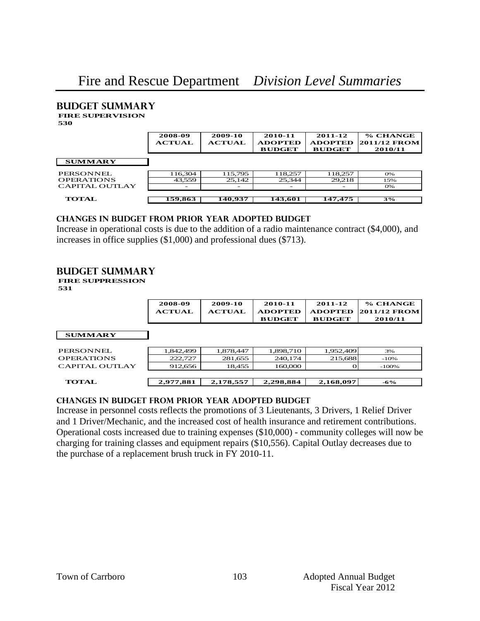# **Budget summary FIRE SUPERVISION**

**530**

|                   | 2008-09<br><b>ACTUAL</b> | 2009-10<br><b>ACTUAL</b> | 2010-11<br><b>ADOPTED</b><br><b>BUDGET</b> | 2011-12<br><b>ADOPTED</b><br><b>BUDGET</b> | % CHANGE<br><b>2011/12 FROM</b><br>2010/11 |
|-------------------|--------------------------|--------------------------|--------------------------------------------|--------------------------------------------|--------------------------------------------|
| <b>SUMMARY</b>    |                          |                          |                                            |                                            |                                            |
| PERSONNEL         | 116,304                  | 115.795                  | 118,257                                    | 118,257                                    | O%                                         |
| <b>OPERATIONS</b> | 43,559                   | 25.142                   | 25.344                                     | 29,218                                     | 15%                                        |
| CAPITAL OUTLAY    | -                        |                          |                                            |                                            | O%                                         |
| <b>TOTAL</b>      | 159,863                  | 140,937                  | 143,601                                    | 147,475                                    | 3%                                         |

#### **changes in budget from prior year adopted budget**

Increase in operational costs is due to the addition of a radio maintenance contract (\$4,000), and increases in office supplies (\$1,000) and professional dues (\$713).

## **Budget summary**

**FIRE SUPPRESSION**

**531**

|                   | 2008-09<br><b>ACTUAL</b> | 2009-10<br><b>ACTUAL</b> | 2010-11<br><b>ADOPTED</b><br><b>BUDGET</b> | 2011-12<br><b>ADOPTED</b><br><b>BUDGET</b> | % CHANGE<br><b>2011/12 FROM</b><br>2010/11 |
|-------------------|--------------------------|--------------------------|--------------------------------------------|--------------------------------------------|--------------------------------------------|
| <b>SUMMARY</b>    |                          |                          |                                            |                                            |                                            |
| PERSONNEL         | 1,842,499                | 1,878,447                | 1,898,710                                  | 1,952,409                                  | 3%                                         |
| <b>OPERATIONS</b> | 222.727                  | 281.655                  | 240,174                                    | 215,688                                    | $-10%$                                     |
| CAPITAL OUTLAY    | 912,656                  | 18,455                   | 160,000                                    |                                            | $-100%$                                    |
| <b>TOTAL</b>      | 2,977,881                | 2,178,557                | 2,298,884                                  | 2,168,097                                  | $-6\%$                                     |

#### **changes in budget from prior year adopted budget**

Increase in personnel costs reflects the promotions of 3 Lieutenants, 3 Drivers, 1 Relief Driver and 1 Driver/Mechanic, and the increased cost of health insurance and retirement contributions. Operational costs increased due to training expenses (\$10,000) - community colleges will now be charging for training classes and equipment repairs (\$10,556). Capital Outlay decreases due to the purchase of a replacement brush truck in FY 2010-11.